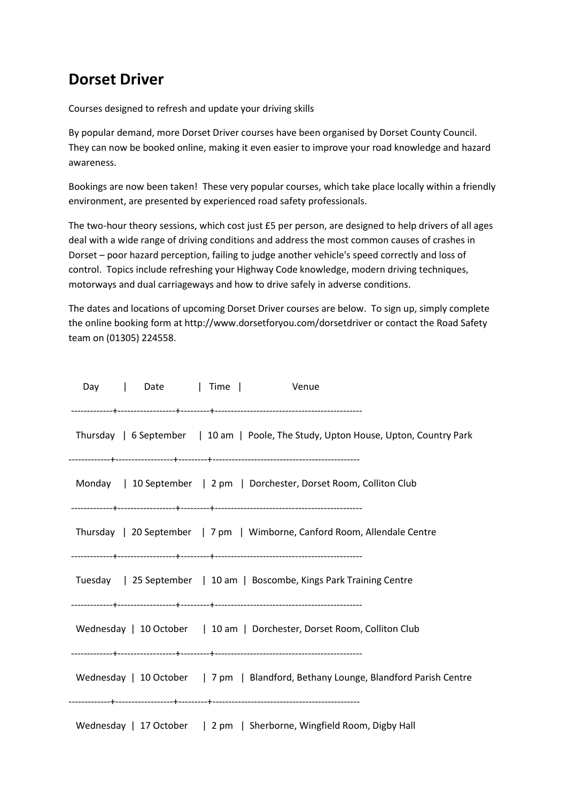## **Dorset Driver**

Courses designed to refresh and update your driving skills

By popular demand, more Dorset Driver courses have been organised by Dorset County Council. They can now be booked online, making it even easier to improve your road knowledge and hazard awareness.

Bookings are now been taken! These very popular courses, which take place locally within a friendly environment, are presented by experienced road safety professionals.

The two-hour theory sessions, which cost just £5 per person, are designed to help drivers of all ages deal with a wide range of driving conditions and address the most common causes of crashes in Dorset – poor hazard perception, failing to judge another vehicle's speed correctly and loss of control. Topics include refreshing your Highway Code knowledge, modern driving techniques, motorways and dual carriageways and how to drive safely in adverse conditions.

The dates and locations of upcoming Dorset Driver courses are below. To sign up, simply complete the online booking form at http://www.dorsetforyou.com/dorsetdriver or contact the Road Safety team on (01305) 224558.

| Day   Date   Time   Venue                                                           |  |
|-------------------------------------------------------------------------------------|--|
| Thursday   6 September   10 am   Poole, The Study, Upton House, Upton, Country Park |  |
| Monday   10 September   2 pm   Dorchester, Dorset Room, Colliton Club               |  |
| Thursday   20 September   7 pm   Wimborne, Canford Room, Allendale Centre           |  |
| Tuesday   25 September   10 am   Boscombe, Kings Park Training Centre               |  |
| Wednesday   10 October   10 am   Dorchester, Dorset Room, Colliton Club             |  |
| Wednesday   10 October   7 pm   Blandford, Bethany Lounge, Blandford Parish Centre  |  |
| Wednesday   17 October   2 pm   Sherborne, Wingfield Room, Digby Hall               |  |